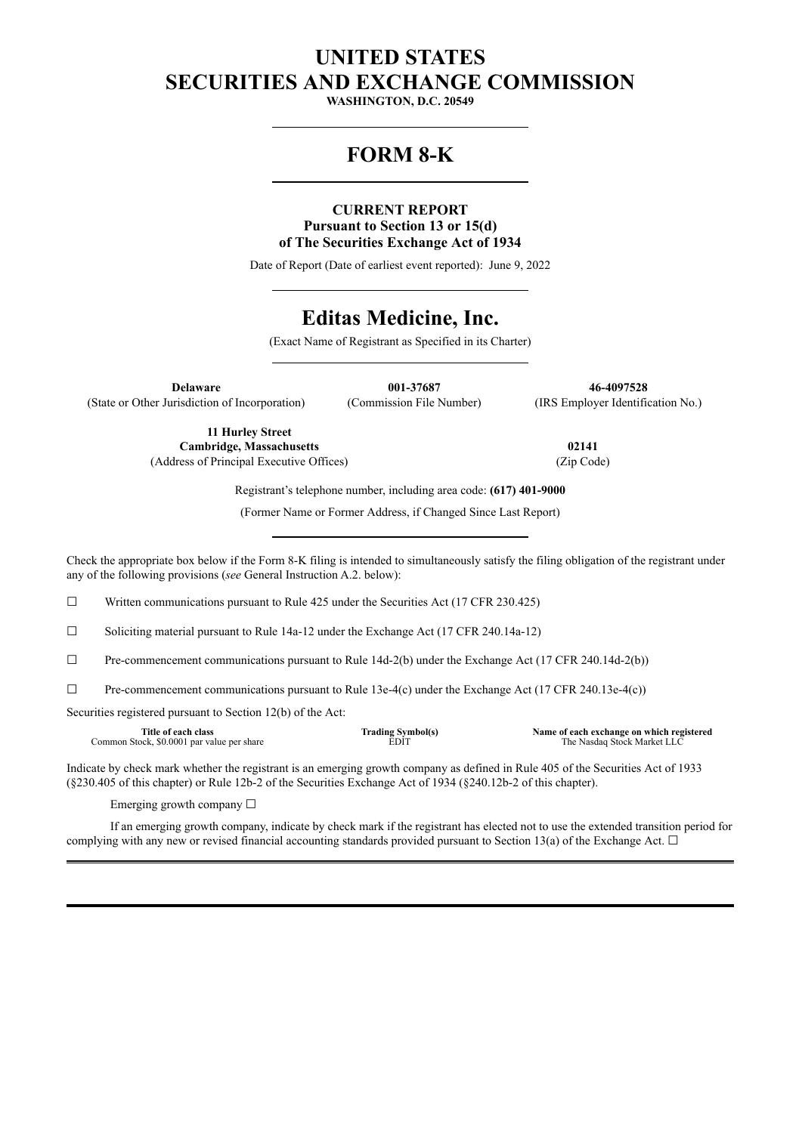# **UNITED STATES SECURITIES AND EXCHANGE COMMISSION**

**WASHINGTON, D.C. 20549**

### **FORM 8-K**

#### **CURRENT REPORT Pursuant to Section 13 or 15(d) of The Securities Exchange Act of 1934**

Date of Report (Date of earliest event reported): June 9, 2022

# **Editas Medicine, Inc.**

(Exact Name of Registrant as Specified in its Charter)

**Delaware 001-37687 46-4097528** (State or Other Jurisdiction of Incorporation) (Commission File Number) (IRS Employer Identification No.)

> **11 Hurley Street Cambridge, Massachusetts 02141** (Address of Principal Executive Offices) (Zip Code)

Registrant's telephone number, including area code: **(617) 401-9000**

(Former Name or Former Address, if Changed Since Last Report)

Check the appropriate box below if the Form 8-K filing is intended to simultaneously satisfy the filing obligation of the registrant under any of the following provisions (*see* General Instruction A.2. below):

☐ Written communications pursuant to Rule 425 under the Securities Act (17 CFR 230.425)

☐ Soliciting material pursuant to Rule 14a-12 under the Exchange Act (17 CFR 240.14a-12)

 $\Box$  Pre-commencement communications pursuant to Rule 14d-2(b) under the Exchange Act (17 CFR 240.14d-2(b))

 $\Box$  Pre-commencement communications pursuant to Rule 13e-4(c) under the Exchange Act (17 CFR 240.13e-4(c))

Securities registered pursuant to Section 12(b) of the Act:

| Title of each class                        | <b>Trading Symbol(s)</b> | Name of each exchange on which registered |
|--------------------------------------------|--------------------------|-------------------------------------------|
| Common Stock, \$0.0001 par value per share | EDI1                     | The Nasdag Stock Market LLC               |

Indicate by check mark whether the registrant is an emerging growth company as defined in Rule 405 of the Securities Act of 1933 (§230.405 of this chapter) or Rule 12b-2 of the Securities Exchange Act of 1934 (§240.12b-2 of this chapter).

Emerging growth company  $\Box$ 

If an emerging growth company, indicate by check mark if the registrant has elected not to use the extended transition period for complying with any new or revised financial accounting standards provided pursuant to Section 13(a) of the Exchange Act.  $\Box$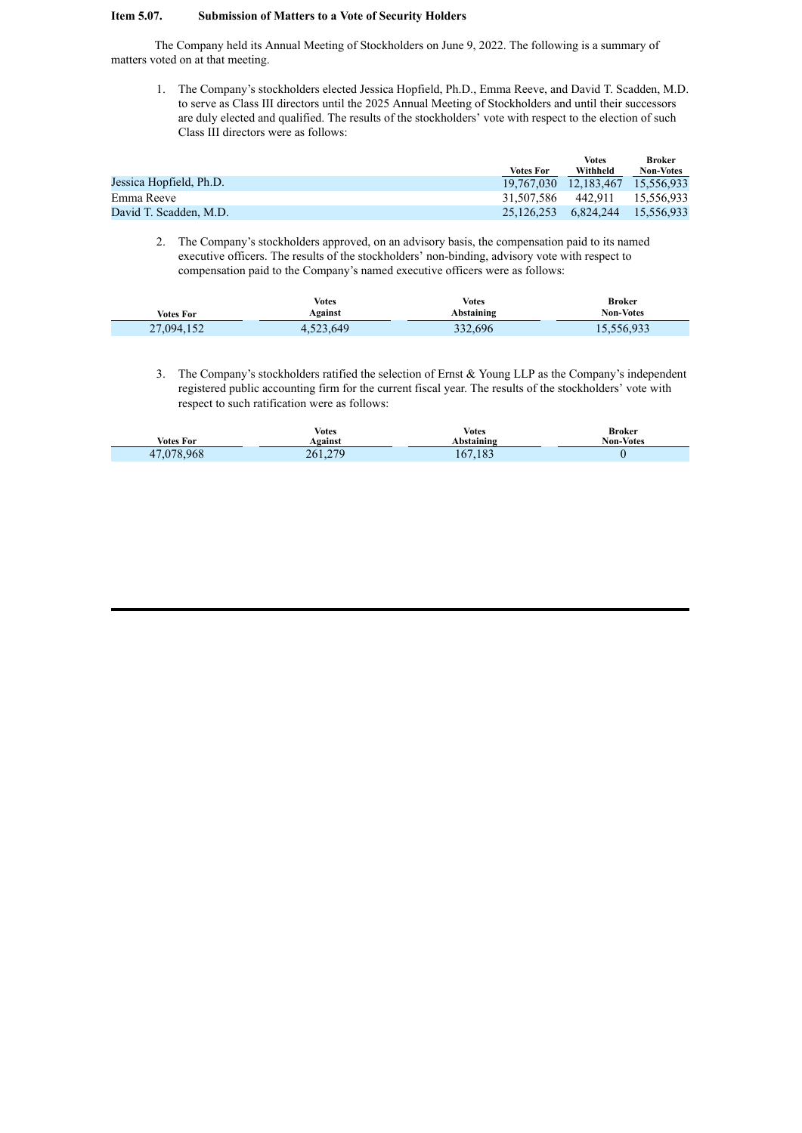#### **Item 5.07. Submission of Matters to a Vote of Security Holders**

The Company held its Annual Meeting of Stockholders on June 9, 2022. The following is a summary of matters voted on at that meeting.

1. The Company's stockholders elected Jessica Hopfield, Ph.D., Emma Reeve, and David T. Scadden, M.D. to serve as Class III directors until the 2025 Annual Meeting of Stockholders and until their successors are duly elected and qualified. The results of the stockholders' vote with respect to the election of such Class III directors were as follows:

|                         |                  | Votes                            | <b>Broker</b> |
|-------------------------|------------------|----------------------------------|---------------|
|                         | <b>Votes For</b> | Withheld                         |               |
| Jessica Hopfield, Ph.D. |                  | 19.767.030 12.183.467 15.556.933 |               |
| Emma Reeve              |                  | 31.507.586 442.911 15.556.933    |               |
| David T. Scadden, M.D.  |                  | 25.126.253 6.824.244 15.556.933  |               |

2. The Company's stockholders approved, on an advisory basis, the compensation paid to its named executive officers. The results of the stockholders' non-binding, advisory vote with respect to compensation paid to the Company's named executive officers were as follows:

| Votes For  | Votes     | <b>Votes</b> | <b>Broker</b> |
|------------|-----------|--------------|---------------|
|            | Against   | Abstaining   | Non-Votes     |
| 27,094,152 | 4,523,649 | 332,696      | 15,556,933    |

3. The Company's stockholders ratified the selection of Ernst & Young LLP as the Company's independent registered public accounting firm for the current fiscal year. The results of the stockholders' vote with respect to such ratification were as follows:

|                 | <b>Votes</b>   | <b>Votes</b> | Broker           |
|-----------------|----------------|--------------|------------------|
| Votes For       | Against        | Abstaining   | <b>Non-Votes</b> |
| 1.078.968<br>47 | 270<br>261,279 | 167,183      |                  |